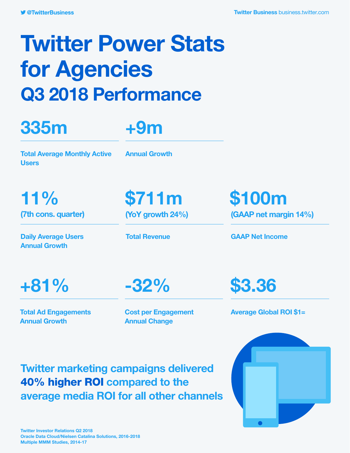# Twitter Power Stats for Agencies Q3 2018 Performance

## 335m



Total Average Monthly Active **Users** 

Annual Growth

Daily Average Users Annual Growth

11% \$711m \$100m

(7th cons. quarter) (YoY growth 24%) (GAAP net margin 14%)

Total Revenue GAAP Net Income

+81% -32% \$3.36

Total Ad Engagements Annual Growth

Cost per Engagement Annual Change

Average Global ROI \$1=

Twitter marketing campaigns delivered 40% higher ROI compared to the average media ROI for all other channels